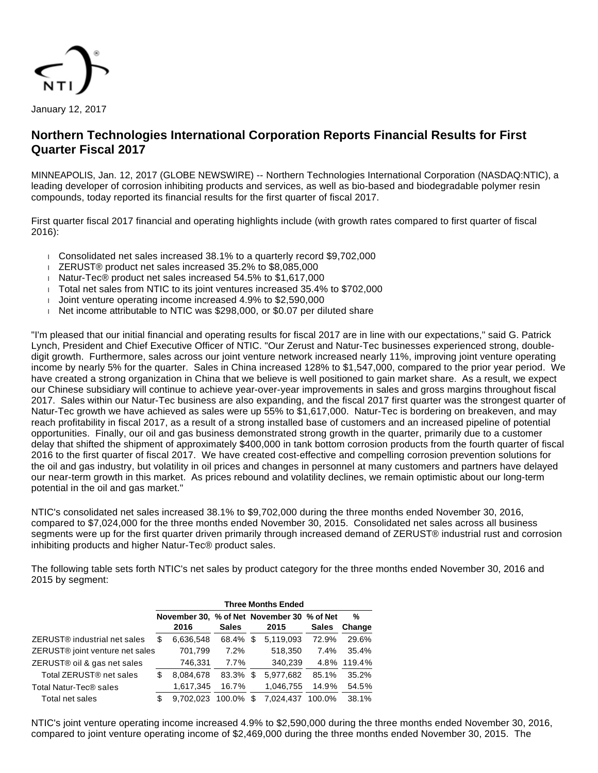

# **Northern Technologies International Corporation Reports Financial Results for First Quarter Fiscal 2017**

MINNEAPOLIS, Jan. 12, 2017 (GLOBE NEWSWIRE) -- Northern Technologies International Corporation (NASDAQ:NTIC), a leading developer of corrosion inhibiting products and services, as well as bio-based and biodegradable polymer resin compounds, today reported its financial results for the first quarter of fiscal 2017.

First quarter fiscal 2017 financial and operating highlights include (with growth rates compared to first quarter of fiscal 2016):

- Consolidated net sales increased 38.1% to a quarterly record \$9,702,000
- ZERUST® product net sales increased 35.2% to \$8,085,000
- Natur-Tec® product net sales increased 54.5% to \$1,617,000
- Total net sales from NTIC to its joint ventures increased 35.4% to \$702,000
- Joint venture operating income increased 4.9% to \$2,590,000
- Net income attributable to NTIC was \$298,000, or \$0.07 per diluted share

"I'm pleased that our initial financial and operating results for fiscal 2017 are in line with our expectations," said G. Patrick Lynch, President and Chief Executive Officer of NTIC. "Our Zerust and Natur-Tec businesses experienced strong, doubledigit growth. Furthermore, sales across our joint venture network increased nearly 11%, improving joint venture operating income by nearly 5% for the quarter. Sales in China increased 128% to \$1,547,000, compared to the prior year period. We have created a strong organization in China that we believe is well positioned to gain market share. As a result, we expect our Chinese subsidiary will continue to achieve year-over-year improvements in sales and gross margins throughout fiscal 2017. Sales within our Natur-Tec business are also expanding, and the fiscal 2017 first quarter was the strongest quarter of Natur-Tec growth we have achieved as sales were up 55% to \$1,617,000. Natur-Tec is bordering on breakeven, and may reach profitability in fiscal 2017, as a result of a strong installed base of customers and an increased pipeline of potential opportunities. Finally, our oil and gas business demonstrated strong growth in the quarter, primarily due to a customer delay that shifted the shipment of approximately \$400,000 in tank bottom corrosion products from the fourth quarter of fiscal 2016 to the first quarter of fiscal 2017. We have created cost-effective and compelling corrosion prevention solutions for the oil and gas industry, but volatility in oil prices and changes in personnel at many customers and partners have delayed our near-term growth in this market. As prices rebound and volatility declines, we remain optimistic about our long-term potential in the oil and gas market."

NTIC's consolidated net sales increased 38.1% to \$9,702,000 during the three months ended November 30, 2016, compared to \$7,024,000 for the three months ended November 30, 2015. Consolidated net sales across all business segments were up for the first quarter driven primarily through increased demand of ZERUST® industrial rust and corrosion inhibiting products and higher Natur-Tec® product sales.

The following table sets forth NTIC's net sales by product category for the three months ended November 30, 2016 and 2015 by segment:

|                                             | <b>Three Months Ended</b> |           |              |     |                                                    |              |             |  |
|---------------------------------------------|---------------------------|-----------|--------------|-----|----------------------------------------------------|--------------|-------------|--|
|                                             |                           | 2016      | <b>Sales</b> |     | November 30, % of Net November 30 % of Net<br>2015 | <b>Sales</b> | %<br>Change |  |
| ZERUST <sup>®</sup> industrial net sales    | S                         | 6,636,548 | 68.4%        | \$  | 5,119,093                                          | 72.9%        | 29.6%       |  |
| ZERUST <sup>®</sup> joint venture net sales |                           | 701,799   | 7.2%         |     | 518,350                                            | 7.4%         | 35.4%       |  |
| ZERUST® oil & gas net sales                 |                           | 746,331   | $7.7\%$      |     | 340,239                                            | 4.8%         | 119.4%      |  |
| Total ZERUST® net sales                     | S                         | 8,084,678 | 83.3%        | \$. | 5.977.682                                          | 85.1%        | 35.2%       |  |
| Total Natur-Tec <sup>®</sup> sales          |                           | 1,617,345 | 16.7%        |     | 1,046,755                                          | 14.9%        | 54.5%       |  |
| Total net sales                             | \$                        | 9.702.023 | 100.0%       | S   | 7,024,437                                          | 100.0%       | 38.1%       |  |

NTIC's joint venture operating income increased 4.9% to \$2,590,000 during the three months ended November 30, 2016, compared to joint venture operating income of \$2,469,000 during the three months ended November 30, 2015. The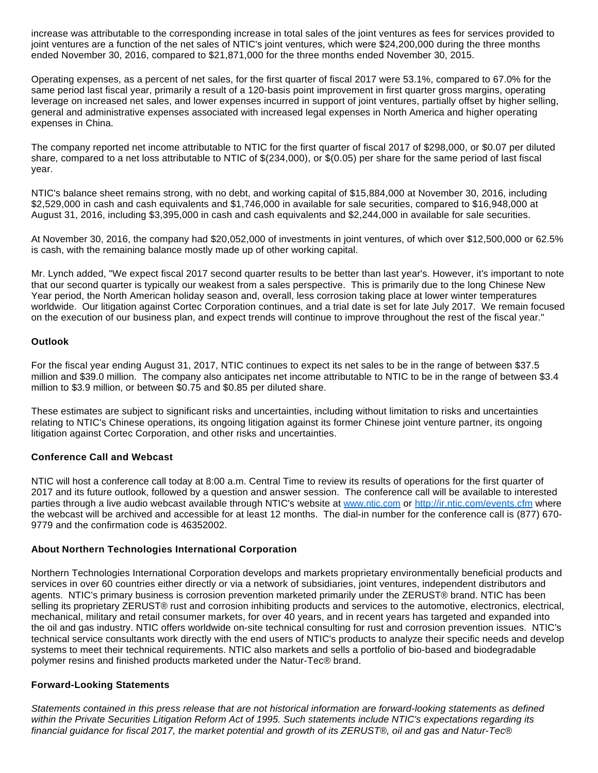increase was attributable to the corresponding increase in total sales of the joint ventures as fees for services provided to joint ventures are a function of the net sales of NTIC's joint ventures, which were \$24,200,000 during the three months ended November 30, 2016, compared to \$21,871,000 for the three months ended November 30, 2015.

Operating expenses, as a percent of net sales, for the first quarter of fiscal 2017 were 53.1%, compared to 67.0% for the same period last fiscal year, primarily a result of a 120-basis point improvement in first quarter gross margins, operating leverage on increased net sales, and lower expenses incurred in support of joint ventures, partially offset by higher selling, general and administrative expenses associated with increased legal expenses in North America and higher operating expenses in China.

The company reported net income attributable to NTIC for the first quarter of fiscal 2017 of \$298,000, or \$0.07 per diluted share, compared to a net loss attributable to NTIC of \$(234,000), or \$(0.05) per share for the same period of last fiscal year.

NTIC's balance sheet remains strong, with no debt, and working capital of \$15,884,000 at November 30, 2016, including \$2,529,000 in cash and cash equivalents and \$1,746,000 in available for sale securities, compared to \$16,948,000 at August 31, 2016, including \$3,395,000 in cash and cash equivalents and \$2,244,000 in available for sale securities.

At November 30, 2016, the company had \$20,052,000 of investments in joint ventures, of which over \$12,500,000 or 62.5% is cash, with the remaining balance mostly made up of other working capital.

Mr. Lynch added, "We expect fiscal 2017 second quarter results to be better than last year's. However, it's important to note that our second quarter is typically our weakest from a sales perspective. This is primarily due to the long Chinese New Year period, the North American holiday season and, overall, less corrosion taking place at lower winter temperatures worldwide. Our litigation against Cortec Corporation continues, and a trial date is set for late July 2017. We remain focused on the execution of our business plan, and expect trends will continue to improve throughout the rest of the fiscal year."

### **Outlook**

For the fiscal year ending August 31, 2017, NTIC continues to expect its net sales to be in the range of between \$37.5 million and \$39.0 million. The company also anticipates net income attributable to NTIC to be in the range of between \$3.4 million to \$3.9 million, or between \$0.75 and \$0.85 per diluted share.

These estimates are subject to significant risks and uncertainties, including without limitation to risks and uncertainties relating to NTIC's Chinese operations, its ongoing litigation against its former Chinese joint venture partner, its ongoing litigation against Cortec Corporation, and other risks and uncertainties.

#### **Conference Call and Webcast**

NTIC will host a conference call today at 8:00 a.m. Central Time to review its results of operations for the first quarter of 2017 and its future outlook, followed by a question and answer session. The conference call will be available to interested parties through a live audio webcast available through NTIC's website at [www.ntic.com](https://www.globenewswire.com/Tracker?data=1Aa9QuVFUbdOThcQY0HH-JpIAKIXBZX1U4nYdAA1Hyz-hP7dDSRYZllKcqHzRxEalOqjqqUwn8lsuN9din8k0w==) or [http://ir.ntic.com/events.cfm](https://www.globenewswire.com/Tracker?data=M8tn3MaqdYA4x5GV36ppYUsrS750kbxeHb2qeFD4f2OIQKzbgHneorfwfRAoTIhKE3amsYShOfGjeE2EGDeWRJG_jtWEkW8R0Ao80WWt1ZsEESvYOmfXSfLqpVkL0Rm2) where the webcast will be archived and accessible for at least 12 months. The dial-in number for the conference call is (877) 670- 9779 and the confirmation code is 46352002.

#### **About Northern Technologies International Corporation**

Northern Technologies International Corporation develops and markets proprietary environmentally beneficial products and services in over 60 countries either directly or via a network of subsidiaries, joint ventures, independent distributors and agents. NTIC's primary business is corrosion prevention marketed primarily under the ZERUST® brand. NTIC has been selling its proprietary ZERUST® rust and corrosion inhibiting products and services to the automotive, electronics, electrical, mechanical, military and retail consumer markets, for over 40 years, and in recent years has targeted and expanded into the oil and gas industry. NTIC offers worldwide on-site technical consulting for rust and corrosion prevention issues. NTIC's technical service consultants work directly with the end users of NTIC's products to analyze their specific needs and develop systems to meet their technical requirements. NTIC also markets and sells a portfolio of bio-based and biodegradable polymer resins and finished products marketed under the Natur-Tec® brand.

## **Forward-Looking Statements**

Statements contained in this press release that are not historical information are forward-looking statements as defined within the Private Securities Litigation Reform Act of 1995. Such statements include NTIC's expectations regarding its financial guidance for fiscal 2017, the market potential and growth of its ZERUST®, oil and gas and Natur-Tec®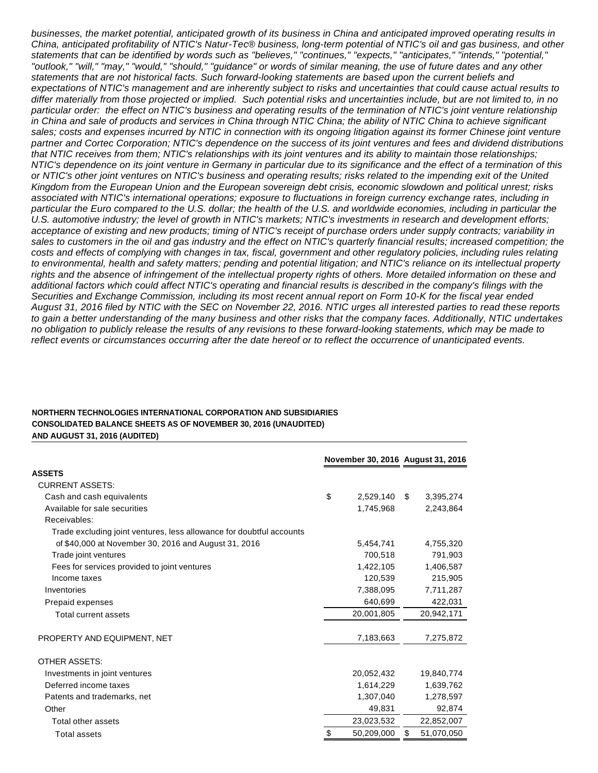businesses, the market potential, anticipated growth of its business in China and anticipated improved operating results in China, anticipated profitability of NTIC's Natur-Tec® business, long-term potential of NTIC's oil and gas business, and other statements that can be identified by words such as "believes," "continues," "expects," "anticipates," "intends," "potential," "outlook," "will," "may," "would," "should," "guidance" or words of similar meaning, the use of future dates and any other statements that are not historical facts. Such forward-looking statements are based upon the current beliefs and expectations of NTIC's management and are inherently subject to risks and uncertainties that could cause actual results to differ materially from those projected or implied. Such potential risks and uncertainties include, but are not limited to, in no particular order: the effect on NTIC's business and operating results of the termination of NTIC's joint venture relationship in China and sale of products and services in China through NTIC China; the ability of NTIC China to achieve significant sales; costs and expenses incurred by NTIC in connection with its ongoing litigation against its former Chinese joint venture partner and Cortec Corporation; NTIC's dependence on the success of its joint ventures and fees and dividend distributions that NTIC receives from them; NTIC's relationships with its joint ventures and its ability to maintain those relationships; NTIC's dependence on its joint venture in Germany in particular due to its significance and the effect of a termination of this or NTIC's other joint ventures on NTIC's business and operating results; risks related to the impending exit of the United Kingdom from the European Union and the European sovereign debt crisis, economic slowdown and political unrest; risks associated with NTIC's international operations; exposure to fluctuations in foreign currency exchange rates, including in particular the Euro compared to the U.S. dollar; the health of the U.S. and worldwide economies, including in particular the U.S. automotive industry; the level of growth in NTIC's markets; NTIC's investments in research and development efforts; acceptance of existing and new products; timing of NTIC's receipt of purchase orders under supply contracts; variability in sales to customers in the oil and gas industry and the effect on NTIC's quarterly financial results; increased competition; the costs and effects of complying with changes in tax, fiscal, government and other regulatory policies, including rules relating to environmental, health and safety matters; pending and potential litigation; and NTIC's reliance on its intellectual property rights and the absence of infringement of the intellectual property rights of others. More detailed information on these and additional factors which could affect NTIC's operating and financial results is described in the company's filings with the Securities and Exchange Commission, including its most recent annual report on Form 10-K for the fiscal year ended August 31, 2016 filed by NTIC with the SEC on November 22, 2016. NTIC urges all interested parties to read these reports to gain a better understanding of the many business and other risks that the company faces. Additionally, NTIC undertakes no obligation to publicly release the results of any revisions to these forward-looking statements, which may be made to reflect events or circumstances occurring after the date hereof or to reflect the occurrence of unanticipated events.

#### **NORTHERN TECHNOLOGIES INTERNATIONAL CORPORATION AND SUBSIDIARIES CONSOLIDATED BALANCE SHEETS AS OF NOVEMBER 30, 2016 (UNAUDITED) AND AUGUST 31, 2016 (AUDITED)**

|                                                                      | November 30, 2016 August 31, 2016 |            |    |            |
|----------------------------------------------------------------------|-----------------------------------|------------|----|------------|
| <b>ASSETS</b>                                                        |                                   |            |    |            |
| <b>CURRENT ASSETS:</b>                                               |                                   |            |    |            |
| Cash and cash equivalents                                            | \$                                | 2,529,140  | \$ | 3,395,274  |
| Available for sale securities                                        |                                   | 1,745,968  |    | 2,243,864  |
| Receivables:                                                         |                                   |            |    |            |
| Trade excluding joint ventures, less allowance for doubtful accounts |                                   |            |    |            |
| of \$40,000 at November 30, 2016 and August 31, 2016                 |                                   | 5,454,741  |    | 4,755,320  |
| Trade joint ventures                                                 |                                   | 700,518    |    | 791,903    |
| Fees for services provided to joint ventures                         |                                   | 1,422,105  |    | 1,406,587  |
| Income taxes                                                         |                                   | 120,539    |    | 215,905    |
| Inventories                                                          |                                   | 7,388,095  |    | 7,711,287  |
| Prepaid expenses                                                     |                                   | 640,699    |    | 422,031    |
| Total current assets                                                 |                                   | 20,001,805 |    | 20,942,171 |
| PROPERTY AND EQUIPMENT, NET                                          |                                   | 7,183,663  |    | 7,275,872  |
| <b>OTHER ASSETS:</b>                                                 |                                   |            |    |            |
| Investments in joint ventures                                        |                                   | 20,052,432 |    | 19,840,774 |
| Deferred income taxes                                                |                                   | 1,614,229  |    | 1,639,762  |
| Patents and trademarks, net                                          |                                   | 1,307,040  |    | 1,278,597  |
| Other                                                                |                                   | 49,831     |    | 92,874     |
| Total other assets                                                   |                                   | 23,023,532 |    | 22,852,007 |
| <b>Total assets</b>                                                  | \$                                | 50,209,000 | \$ | 51,070,050 |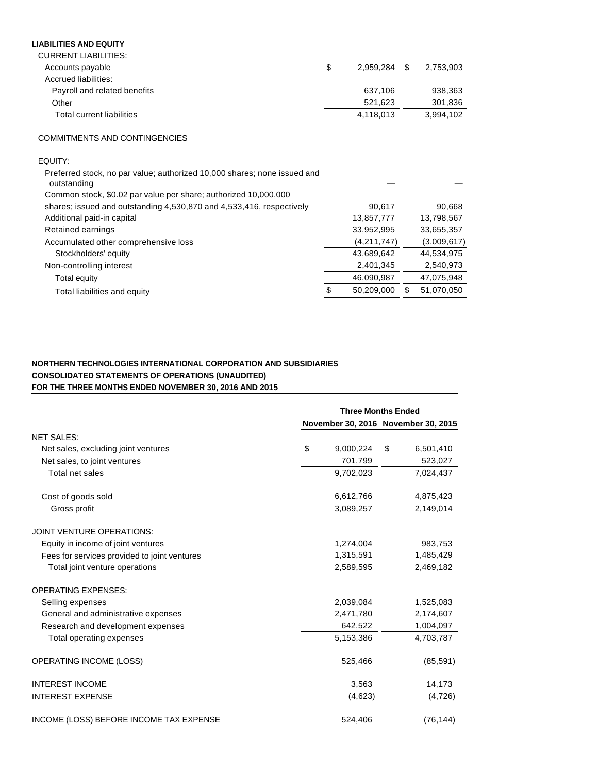|  |  |  | <b>LIABILITIES AND EQUITY</b> |
|--|--|--|-------------------------------|
|--|--|--|-------------------------------|

| <b>CURRENT LIABILITIES:</b>                                                             |                  |                  |
|-----------------------------------------------------------------------------------------|------------------|------------------|
| Accounts payable                                                                        | \$<br>2,959,284  | \$<br>2,753,903  |
| Accrued liabilities:                                                                    |                  |                  |
| Payroll and related benefits                                                            | 637,106          | 938,363          |
| Other                                                                                   | 521,623          | 301,836          |
| Total current liabilities                                                               | 4,118,013        | 3,994,102        |
| COMMITMENTS AND CONTINGENCIES                                                           |                  |                  |
| EQUITY:                                                                                 |                  |                  |
| Preferred stock, no par value; authorized 10,000 shares; none issued and<br>outstanding |                  |                  |
| Common stock, \$0.02 par value per share; authorized 10,000,000                         |                  |                  |
| shares; issued and outstanding 4,530,870 and 4,533,416, respectively                    | 90,617           | 90,668           |
| Additional paid-in capital                                                              | 13,857,777       | 13,798,567       |
| Retained earnings                                                                       | 33,952,995       | 33,655,357       |
| Accumulated other comprehensive loss                                                    | (4,211,747)      | (3,009,617)      |
| Stockholders' equity                                                                    | 43,689,642       | 44,534,975       |
| Non-controlling interest                                                                | 2,401,345        | 2,540,973        |
| Total equity                                                                            | 46,090,987       | 47,075,948       |
| Total liabilities and equity                                                            | \$<br>50,209,000 | \$<br>51,070,050 |

#### **NORTHERN TECHNOLOGIES INTERNATIONAL CORPORATION AND SUBSIDIARIES CONSOLIDATED STATEMENTS OF OPERATIONS (UNAUDITED) FOR THE THREE MONTHS ENDED NOVEMBER 30, 2016 AND 2015**

|                                              | <b>Three Months Ended</b>           |    |           |  |
|----------------------------------------------|-------------------------------------|----|-----------|--|
|                                              | November 30, 2016 November 30, 2015 |    |           |  |
| <b>NET SALES:</b>                            |                                     |    |           |  |
| Net sales, excluding joint ventures          | \$<br>9,000,224                     | \$ | 6,501,410 |  |
| Net sales, to joint ventures                 | 701,799                             |    | 523,027   |  |
| Total net sales                              | 9,702,023                           |    | 7,024,437 |  |
| Cost of goods sold                           | 6,612,766                           |    | 4,875,423 |  |
| Gross profit                                 | 3,089,257                           |    | 2,149,014 |  |
| <b>JOINT VENTURE OPERATIONS:</b>             |                                     |    |           |  |
| Equity in income of joint ventures           | 1,274,004                           |    | 983,753   |  |
| Fees for services provided to joint ventures | 1,315,591                           |    | 1,485,429 |  |
| Total joint venture operations               | 2,589,595                           |    | 2,469,182 |  |
| <b>OPERATING EXPENSES:</b>                   |                                     |    |           |  |
| Selling expenses                             | 2,039,084                           |    | 1,525,083 |  |
| General and administrative expenses          | 2,471,780                           |    | 2,174,607 |  |
| Research and development expenses            | 642,522                             |    | 1,004,097 |  |
| Total operating expenses                     | 5,153,386                           |    | 4,703,787 |  |
| <b>OPERATING INCOME (LOSS)</b>               | 525,466                             |    | (85, 591) |  |
| <b>INTEREST INCOME</b>                       | 3,563                               |    | 14,173    |  |
| <b>INTEREST EXPENSE</b>                      | (4,623)                             |    | (4, 726)  |  |
| INCOME (LOSS) BEFORE INCOME TAX EXPENSE      | 524,406                             |    | (76, 144) |  |